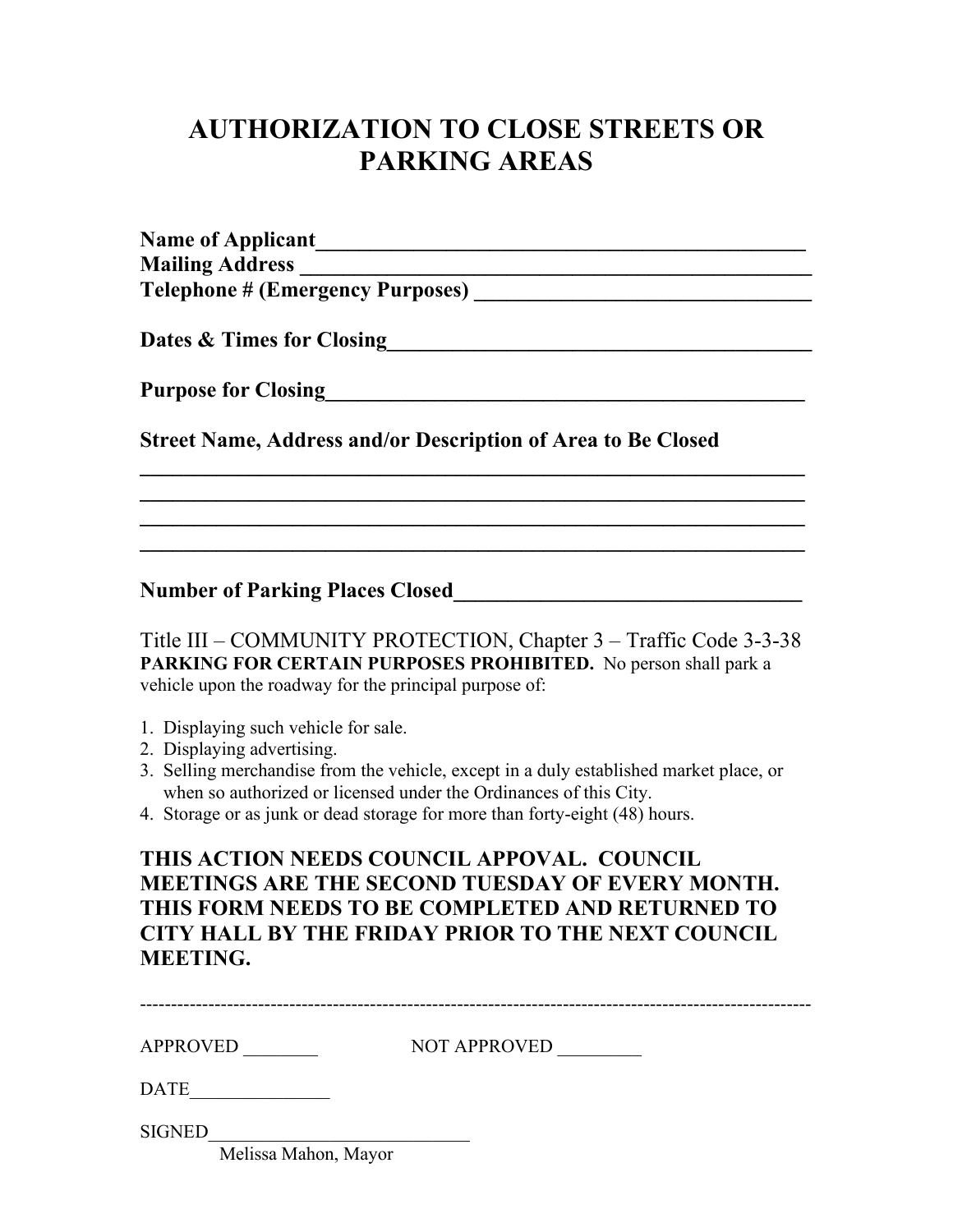## **AUTHORIZATION TO CLOSE STREETS OR PARKING AREAS**

| <b>Name of Applicant</b>                                            |
|---------------------------------------------------------------------|
|                                                                     |
|                                                                     |
| <b>Dates &amp; Times for Closing</b>                                |
| <b>Purpose for Closing</b>                                          |
| <b>Street Name, Address and/or Description of Area to Be Closed</b> |
|                                                                     |
|                                                                     |
|                                                                     |

Number of Parking Places Closed

Title III – COMMUNITY PROTECTION, Chapter 3 – Traffic Code 3-3-38 **PARKING FOR CERTAIN PURPOSES PROHIBITED.** No person shall park a vehicle upon the roadway for the principal purpose of:

- 1. Displaying such vehicle for sale.
- 2. Displaying advertising.
- 3. Selling merchandise from the vehicle, except in a duly established market place, or when so authorized or licensed under the Ordinances of this City.
- 4. Storage or as junk or dead storage for more than forty-eight (48) hours.

## **THIS ACTION NEEDS COUNCIL APPOVAL. COUNCIL MEETINGS ARE THE SECOND TUESDAY OF EVERY MONTH. THIS FORM NEEDS TO BE COMPLETED AND RETURNED TO CITY HALL BY THE FRIDAY PRIOR TO THE NEXT COUNCIL MEETING.**

| <b>APPROVED</b>                                                                                 | <b>NOT APPROVED</b> |
|-------------------------------------------------------------------------------------------------|---------------------|
| <b>DATE</b>                                                                                     |                     |
| <b>SIGNED</b><br>$\mathbf{M}$ $\mathbf{1'}$ $\mathbf{M}$ $\mathbf{1}$ $\mathbf{M}$ $\mathbf{M}$ |                     |

Melissa Mahon, Mayor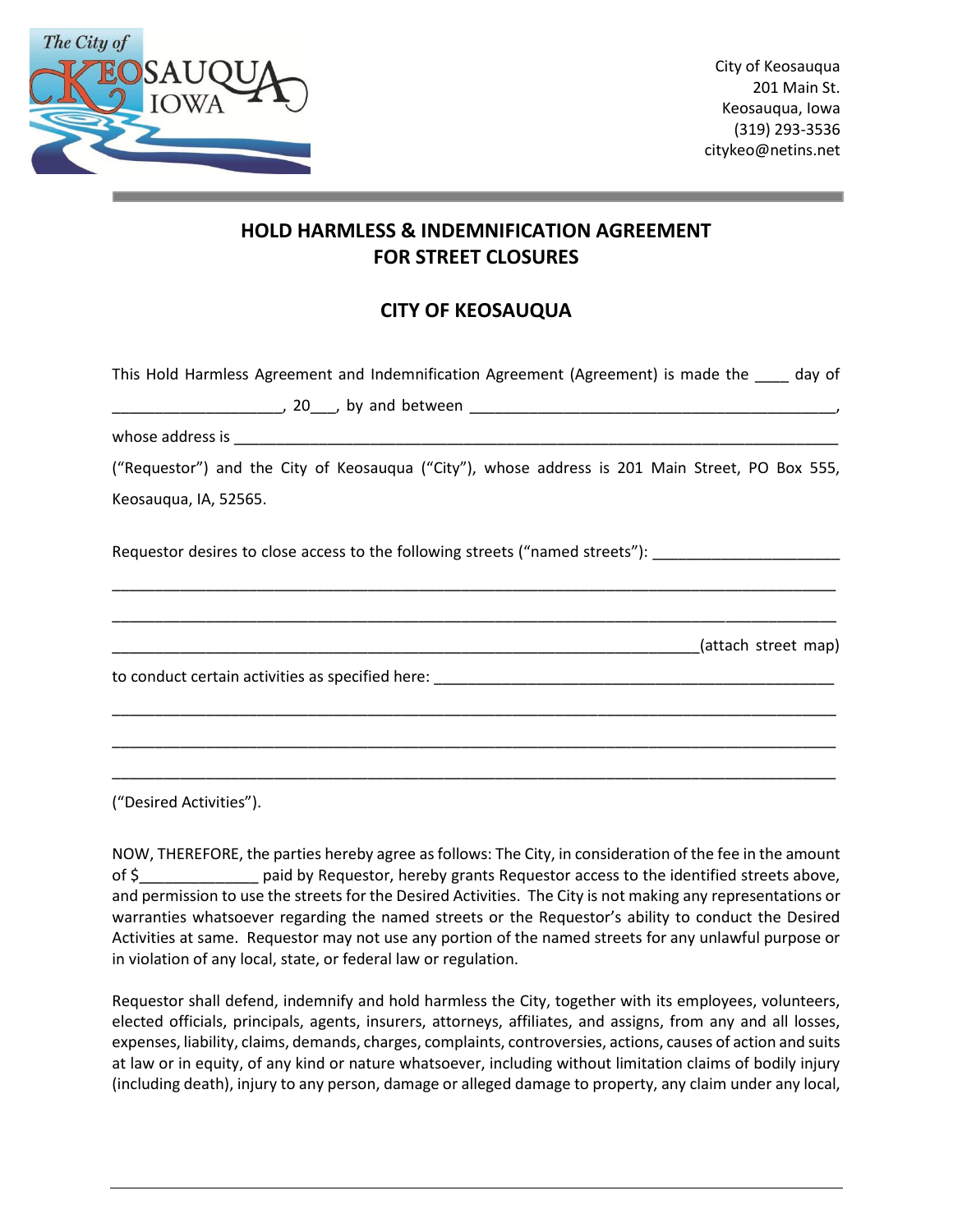

## **HOLD HARMLESS & INDEMNIFICATION AGREEMENT FOR STREET CLOSURES**

## **CITY OF KEOSAUQUA**

| This Hold Harmless Agreement and Indemnification Agreement (Agreement) is made the same day of      |
|-----------------------------------------------------------------------------------------------------|
|                                                                                                     |
|                                                                                                     |
| ("Requestor") and the City of Keosauqua ("City"), whose address is 201 Main Street, PO Box 555,     |
| Keosauqua, IA, 52565.                                                                               |
| Requestor desires to close access to the following streets ("named streets"): _____________________ |
|                                                                                                     |
|                                                                                                     |
|                                                                                                     |
| ("Desired Activities").                                                                             |

NOW, THEREFORE, the parties hereby agree as follows: The City, in consideration of the fee in the amount of \$\_\_\_\_\_\_\_\_\_\_\_\_\_\_ paid by Requestor, hereby grants Requestor access to the identified streets above, and permission to use the streets for the Desired Activities. The City is not making any representations or warranties whatsoever regarding the named streets or the Requestor's ability to conduct the Desired Activities at same. Requestor may not use any portion of the named streets for any unlawful purpose or in violation of any local, state, or federal law or regulation.

Requestor shall defend, indemnify and hold harmless the City, together with its employees, volunteers, elected officials, principals, agents, insurers, attorneys, affiliates, and assigns, from any and all losses, expenses, liability, claims, demands, charges, complaints, controversies, actions, causes of action and suits at law or in equity, of any kind or nature whatsoever, including without limitation claims of bodily injury (including death), injury to any person, damage or alleged damage to property, any claim under any local,